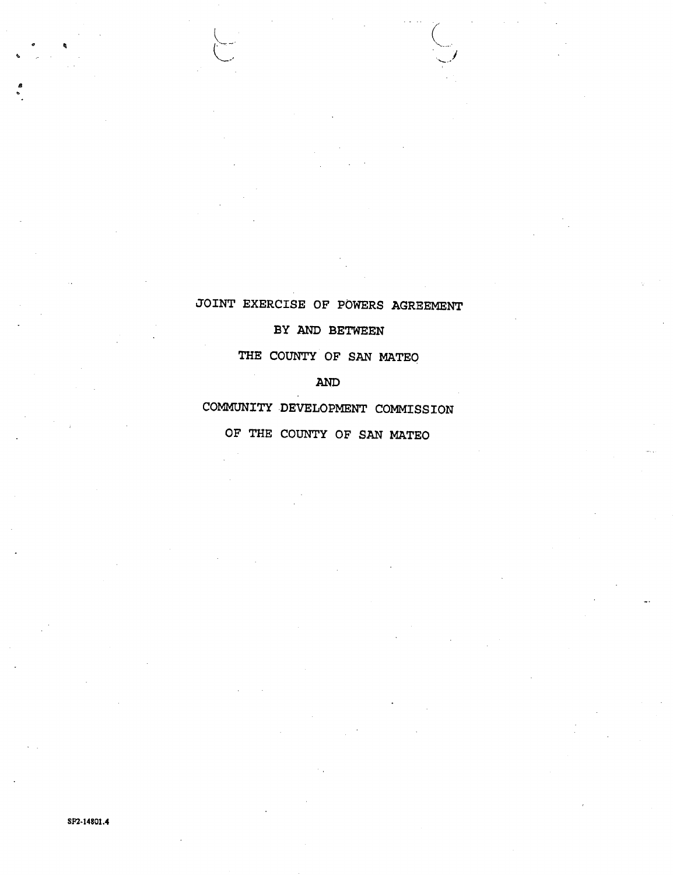# **JOINT EXERCISE OF POWERS AGREEMENT**

**/** 

 $\setminus$ 

**\*** 

**4** 

## **BY AND BETWEEN**

**THE COUNTY OF SAN MATEO** 

**AND** 

**COMMUNITY DEVELOPMENT COMMISSION OF THE COUNTY OF SAN MATEO**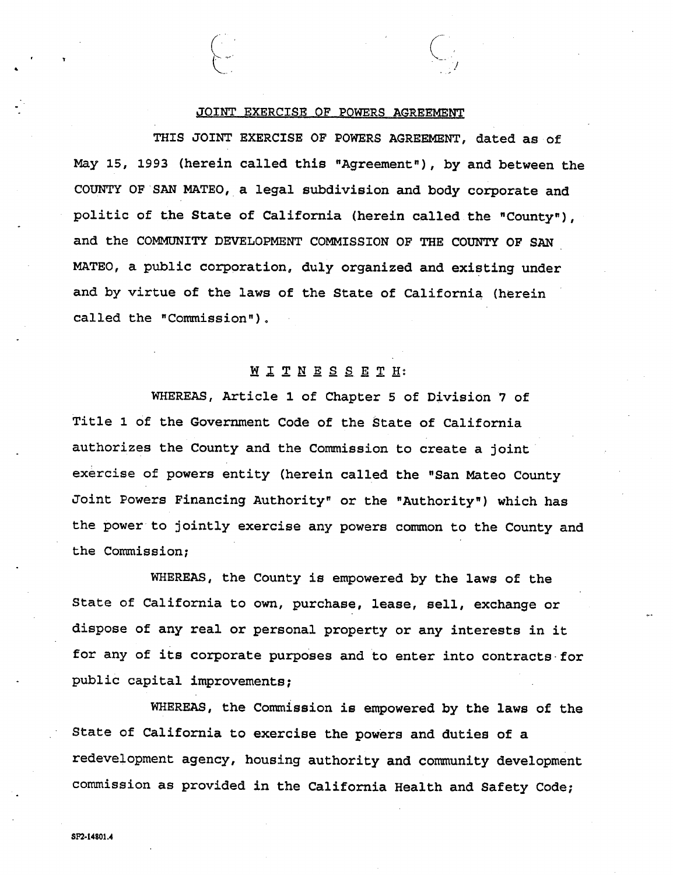#### **JOINT EXERCISE OF POWERS AGREEMENT**

 $\begin{pmatrix} 1 & 1 \\ 1 & 1 \end{pmatrix}$ 

**THIS JOINT EXERCISE OF POWERS AGREEMENT, dated as** Of **May 15, 1993 (herein called this "Agreement"), by and between the COUNTY OF SAN MATEO, a legal subdivision and body corporate and politic of the State of California (herein called the "County"), and the COMMUNITY DEVELOPMENT COMMISSION OF THE COUNTY OF SAN MATEO, a public corporation, duly organized and existing under and by virtue of the laws of the State of California (herein called the "Commission").** 

### **WITNESSETH?**

**WHEREAS, Article 1 of Chapter 5 of Division 7 of Title l of the Government Code of the State of California authorizes the County and the Commission to create a joint exercise of powers entity (herein called the "San Mateo County Joint Powers Financing Authority" or the "Authority") which has the power to jointly exercise any powers common to the County and the Commission;** 

**WHEREAS, the County is empowered by the laws of the State of California to own, purchase, lease, sell, exchange or dispose of any real or personal property or any interests in it for any of its corporate purposes and to enter into contracts for public capital improvements;** 

WHEREAS, the Commission is empowered by the laws of the **State of California to exercise the powers and duties of a redevelopment agency, housing authority and community development commission as provided in the California Health and Safety Code;**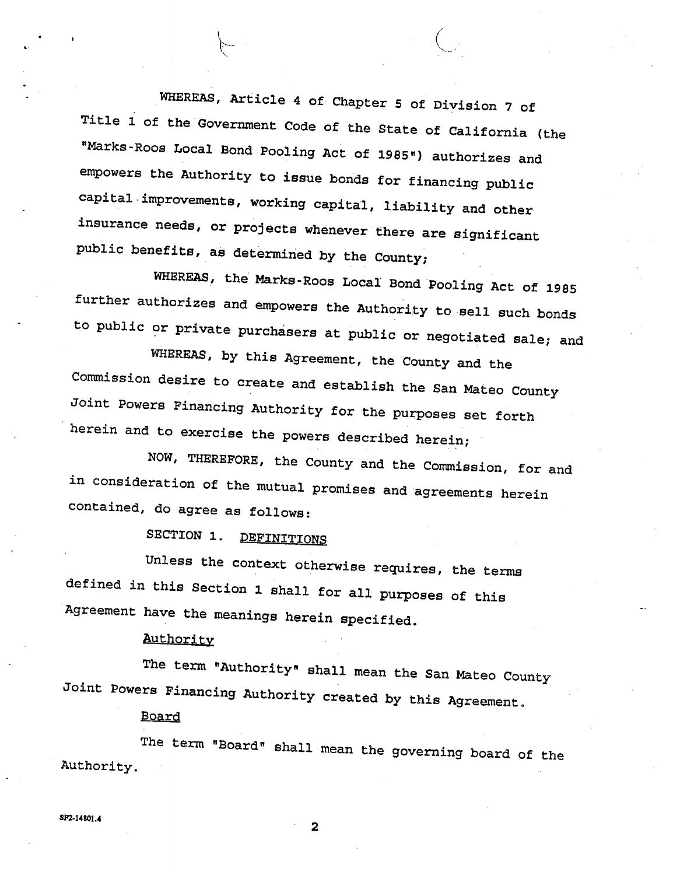**WHEREAS, Article 4 of Chapter 5 of Division 7 of Title 1 of the Government Code of the State of California (the "Marks-Roos Local Bond Pooling Act of 1985") authorizes and empowers the Authority to issue bonds for financing public capital improvements, working capital, liability and other insurance needs, or projects whenever there are significant public benefits, as determined by the County;** 

 $\begin{array}{c} \begin{array}{c} \end{array}$ 

**WHEREAS, the Marks-Roos Local Bond Pooling Act of 1985 further authorizes and empowers the Authority to sell such bonds to public or private purchasers at public or negotiated sale; and** 

**WHEREAS, by this Agreement, the County and the Commission desire to create and establish the San Mateo County Joint Powers Financing Authority for the purposes set forth herein and to exercise the powers described herein;** 

**NOW, THEREFORE, the County and the Commission, for and in consideration of the mutual promises and agreements herein contained, do agree as follows:** 

**SECTION 1. DEFINITIONS** 

**Unless the context otherwise requires, the terms defined in this Section 1 shall for all purposes of this Agreement have the meanings herein specified.** 

## **Authority**

**The term "Authority" shall mean the San Mateo County Joint Powers Financing Authority created by this Agreement.** 

#### **Board**

**The term "Board" shall mean the governing board of the Authority.** 

**2**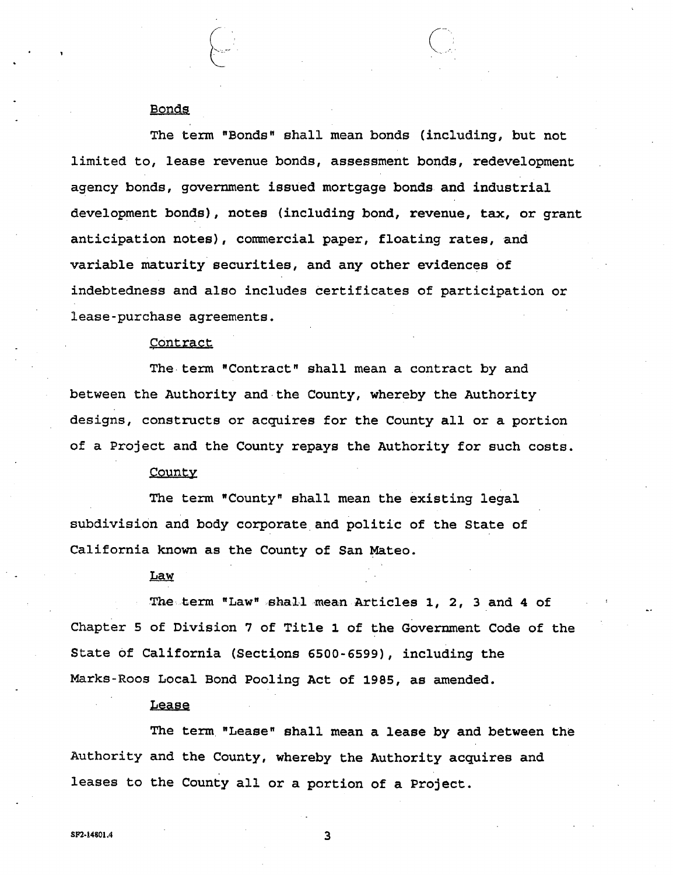#### **Bonds**

**The term "Bonds" shall mean bonds (including, but not limited to, lease revenue bonds, assessment bonds, redevelopment agency bonds, government issued mortgage bonds and industrial development bonds), notes (including bond, revenue, tax, or grant anticipation notes), commercial paper, floating rates, and variable maturity securities, and any other evidences of indebtedness and also includes certificates of participation or lease-purchase agreements.** 

## **Contract**

**The term "Contract" shall mean a contract by and between the Authority and the County, whereby the Authority designs, constructs or acquires for the County all or a portion of a Project and the County repays the Authority for such costs.** 

#### County

**The term "County" shall mean the existing legal subdivision and body corporate and politic of the State of California known as the County of San Mateo.** 

#### **Law**

**The term "Law" shall mean Articles 1, 2, 3 and 4 of Chapter 5 of Division 7 of Title 1 of the Government Code of the State of California (Sections 6500-6599), including the Marks-Roos Local Bond Pooling Act of 1985, as amended.** 

#### **Lease**

**The term "Lease" shall mean a lease by and between the Authority and the County, whereby the Authority acquires and leases to the County all or a portion of a Project.**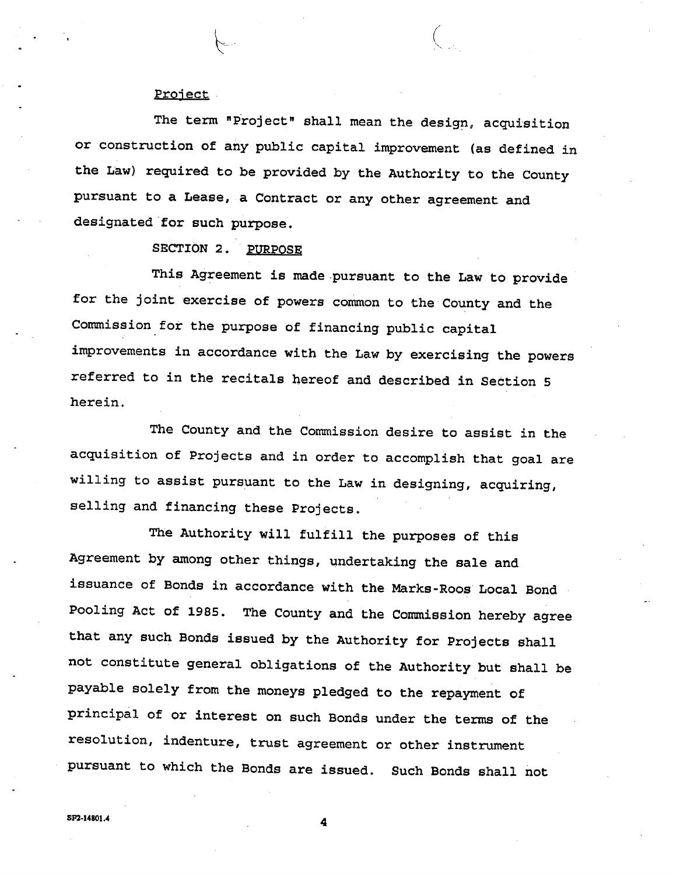#### **Project**

**The term "Project" shall mean the design, acquisition or construction of any public capital improvement (as defined in the Law) required to be provided by the Authority to the County pursuant to a Lease, a Contract or any other agreement and designated for such purpose.** 

# **SECTION 2. PURPOSE**

**This Agreement is made pursuant to the Law to provide for the joint exercise of powers common to the County and the Commission for the purpose of financing public capital improvements in accordance with the Law by exercising the powers referred to in the recitals hereof and described in Section 5 herein.** 

**The County and the Commission desire to assist in the acquisition of Projects and in order to accomplish that goal are willing to assist pursuant to the Law in designing, acquiring, selling and financing these Projects.** 

**The Authority will fulfill the purposes of this Agreement by among other things, undertaking the sale and issuance of Bonds in accordance with the Marks-Roos Local Bond Pooling Act of 1985. The County and the Commission hereby agree that any such Bonds issued by the Authority for Projects shall not constitute general obligations of the Authority but shall be payable solely from the moneys pledged to the repayment of principal of or interest on such Bonds under the terms of the resolution, indenture, trust agreement or other instrument pursuant to which the Bonds are issued. Such Bonds shall not** 

 $S_{\text{F2}-14801.4}$  **4 4**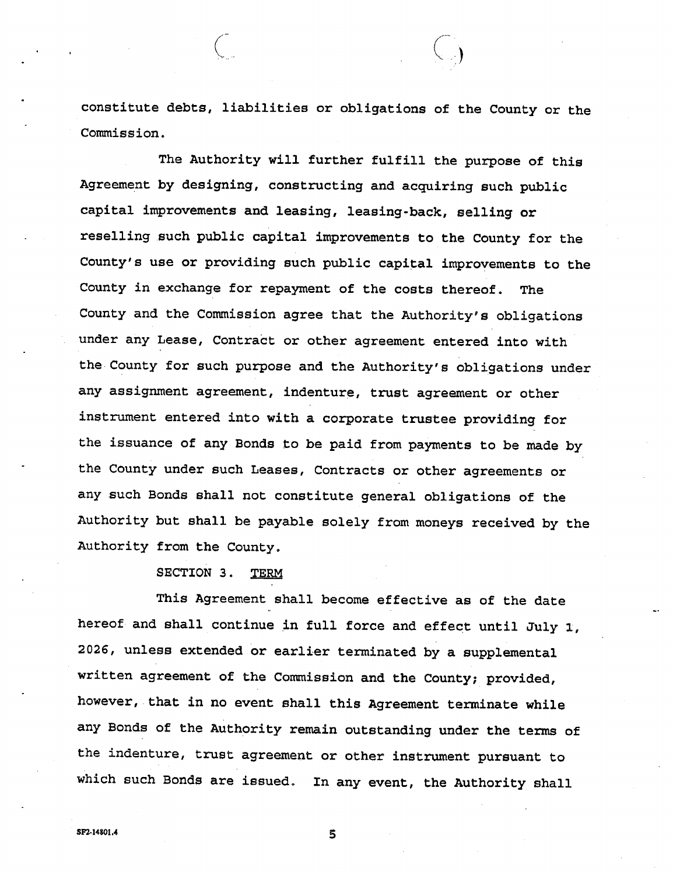**constitute debts, liabilities or obligations of the County or the Commission.** 

**The Authority will further fulfill the purpose of this Agreement by designing, constructing and acquiring such public capital improvements and leasing, leasing-back, selling or reselling such public capital improvements to the County for the County's use or providing such public capital improvements to the County in exchange for repayment of the costs thereof. The County and the Commission agree that the Authority's obligations under any Lease, Contract or other agreement entered into with the County for such purpose and the Authority's obligations under any assignment agreement, indenture, trust agreement or other instrument entered into with a corporate trustee providing for the issuance of any Bonds to be paid from payments to be made by the County under such Leases, Contracts or other agreements or any such Bonds shall not constitute general obligations of the Authority but shall be payable solely from moneys received by the Authority from the County.** 

#### **SECTION 3. TERM**

**This Agreement shall become effective as of the date hereof and shall continue in full force and effect until July 1, 2026, unless extended or earlier terminated by a supplemental written agreement of the Commission and the County; provided, however, that in no event shall this Agreement terminate while any Bonds of the Authority remain outstanding under the terms of the indenture, trust agreement or other instrument pursuant to which such Bonds are issued. In any event, the Authority shall**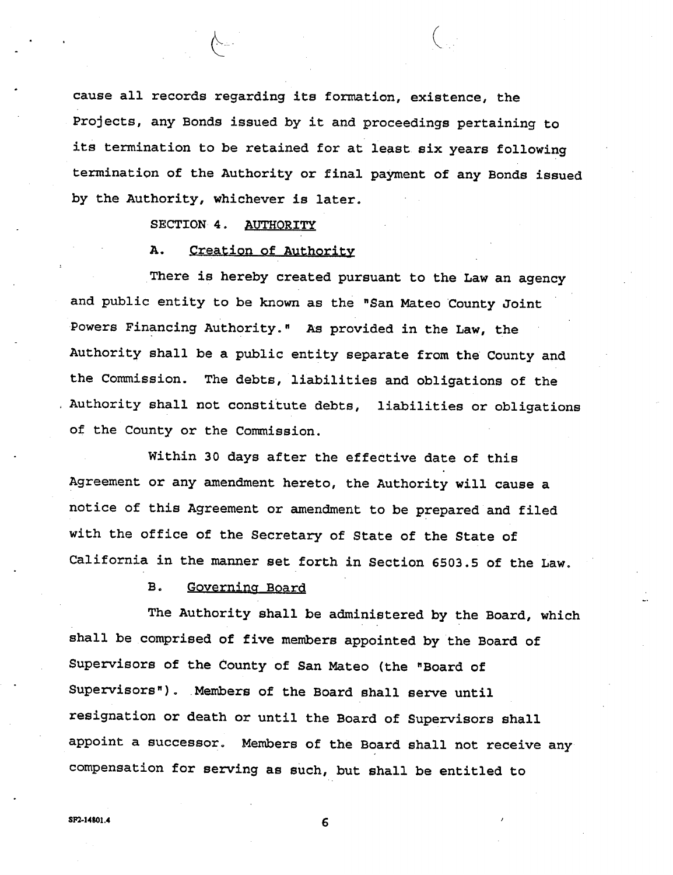**cause all records regarding its formation, existence, the Projects, any Bonds issued by it and proceedings pertaining to its termination to be retained for at least six years following termination of the Authority or final payment of any Bonds issued by the Authority, whichever is later.** 

### **SECTION 4. AUTHORITY**

#### **A. Creation of Authority**

**There is hereby created pursuant to the Law an agency and public entity to be known as the "San Mateo County Joint Powers Financing Authority." As provided in the Law, the Authority shall be a public entity separate from the County and the Commission. The debts, liabilities and obligations of the , Authority shall not constitute debts, liabilities or obligations of the County or the Commission.** 

**Within 30 days after the effective date of this Agreement or any amendment hereto, the Authority will cause <sup>a</sup> notice of this Agreement or amendment to be prepared and filed with the office of the Secretary of State of the State of California in the manner set forth in Section 6503.5 of the Law.** 

#### **B. Governing Board**

**The Authority shall be administered by the Board, which shall be comprised of five members appointed by the Board of Supervisors of the County of San Mateo (the "Board of Supervisors"). Members of the Board shall serve until resignation or death or until the Board of Supervisors shall appoint <sup>a</sup>successor. Members of the Board shall not receive any compensation for serving as such, but shall be entitled to**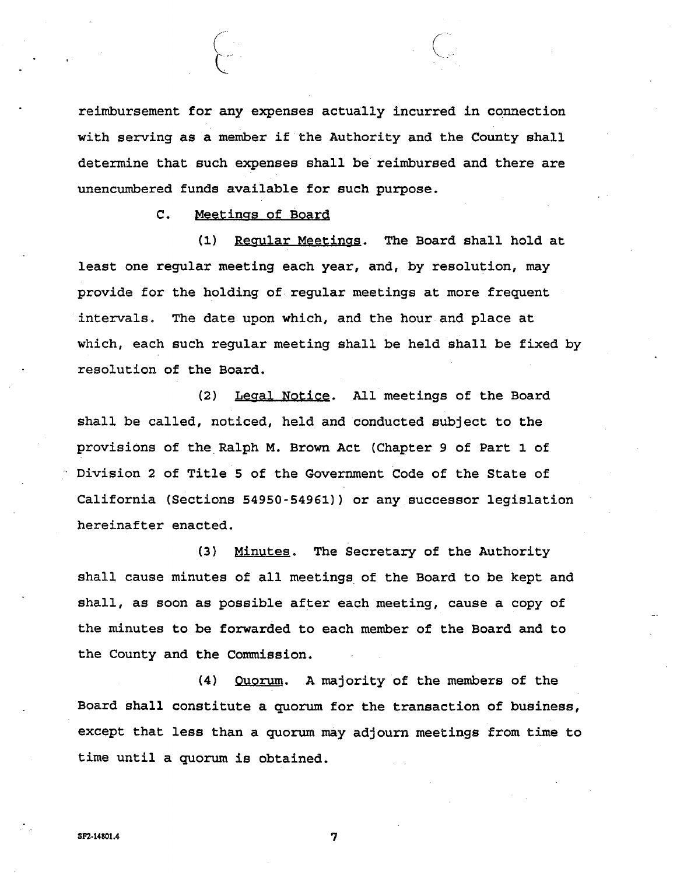**reimbursement for any expenses actually incurred in connection with serving as a member if the Authority and the County shall determine that such expenses shall be reimbursed and there are unencumbered funds available for such purpose.** 

**C. Meetings of Board** 

 $\begin{pmatrix} 1 & 1 \\ 1 & 1 \end{pmatrix}$ 

**(l) Regular Meetings. The Board shall hold at least one regular meeting each year, and, by resolution, may provide for the holding of regular meetings at more frequent intervals. The date upon which, and the hour and place at which, each such regular meeting shall be held shall be fixed by resolution of the Board.** 

**(2) Legal Notice. All meetings of the Board shall be called, noticed, held and conducted subject to the provisions of the Ralph M. Brown Act (Chapter 9 of Part 1 of - Division 2 of Title 5 of the Government Code of the State of California (Sections 54950-54961)) or any successor legislation hereinafter enacted.** 

**(3) Minutes. The Secretary of the Authority shall cause minutes of all meetings of the Board to be kept and shall, as soon as possible after each meeting, cause a copy of the minutes to be forwarded to each member of the Board and to the County and the Commission.** 

**(4) Quorum. A majority of the members of the Board shall constitute a quorum for the transaction of business, except that less than a quorum may adjourn meetings from time to time until a quorum is obtained.**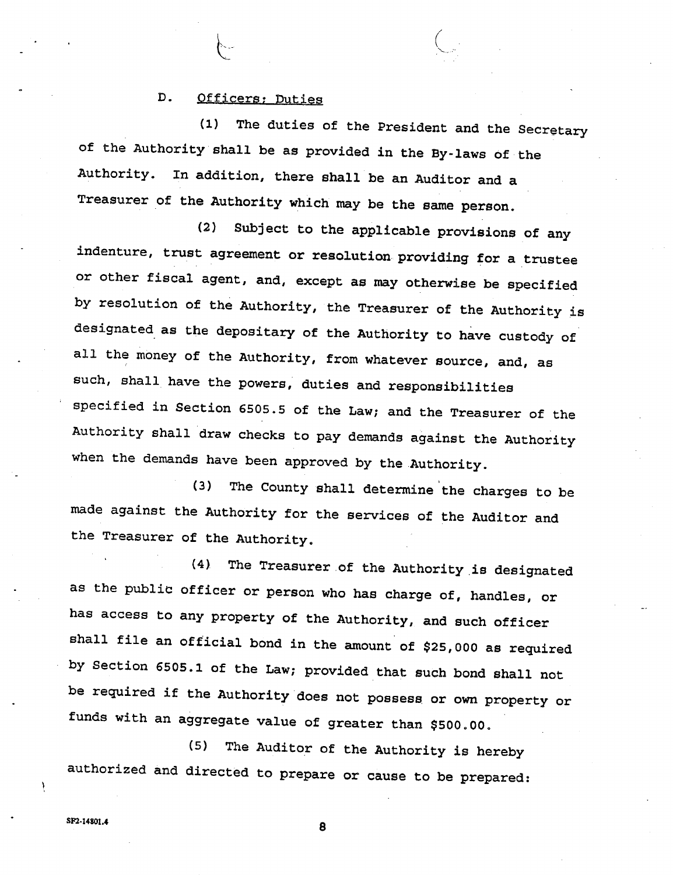#### **D. Officers; Duties**

**(1) The duties of the President and the Secretary of the Authority shall be as provided in the By-laws of the Authority. In addition, there shall be an Auditor and a Treasurer of the Authority which may be the same person.** 

**(2) Subject to the applicable provisions of any indenture, trust agreement or resolution providing for a trustee or other fiscal agent, and, except as may otherwise be specified by resolution of the Authority, the Treasurer of the Authority is designated as the depositary of the Authority to have custody of all the money of the Authority, from whatever source, and, as such, shall have the powers, duties and responsibilities specified in Section 6505.5 of the Law; and the Treasurer of the Authority shall draw checks to pay demands against the Authority when the demands have been approved by the Authority.** 

**(3) The County shall determine the charges to be made against the Authority for the services of the Auditor and the Treasurer of the Authority.** 

**(4) The Treasurer of the Authority is designated as the public officer or person who has charge of, handles, or has access to any property of the Authority, and such officer shall file an official bond in the amount of \$25,000 as required by Section 6505.1 of the Law; provided that such bond shall not be required if the Authority does not possess, or own property or funds with an aggregate value of greater than \$500.00.** 

**(5) The Auditor of the Authority is hereby authorized and directed to prepare or cause to be prepared:** 

SF2-1480M **8** 

Y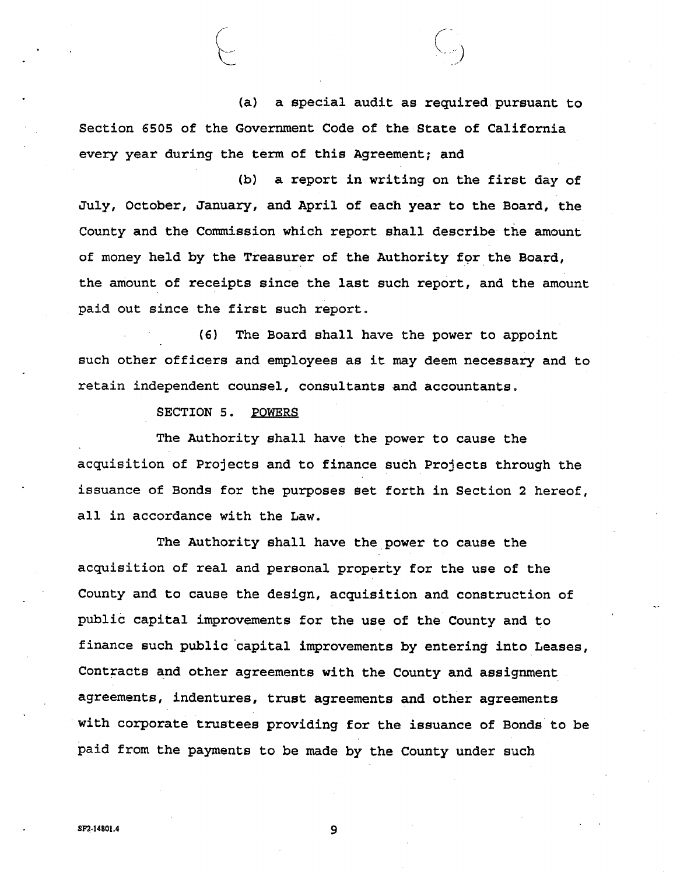**(a) a special audit as required pursuant to Section 6505 of the Government Code of the State of California every year during the term of this Agreement; and** 

**(b) a report in writing on the first day of July, October, January, and April of each year to the Board, the County and the Commission which report shall describe the amount of money held by the Treasurer of the Authority for the Board, the amount of receipts since the last such report, and the amount paid out since the first such report,** 

**(6) The Board shall have the power to appoint such other officers and employees as it may deem necessary and to retain independent counsel, consultants and accountants.** 

**SECTION 5. POWERS** 

**The Authority shall have the power to cause the acquisition of Projects and to finance such Projects through the issuance of Bonds for the purposes set forth in Section 2 hereof, all in accordance with the Law.** 

**The Authority shall have the power to cause the acquisition of real and personal property for the use of the County and to cause the design, acquisition and construction of public capital improvements for the use of the County and to finance such public capital improvements by entering into Leases, Contracts and other agreements with the County and assignment agreements, indentures, trust agreements and other agreements with corporate trustees providing for the issuance of Bonds to be paid from the payments to be made by the County under such**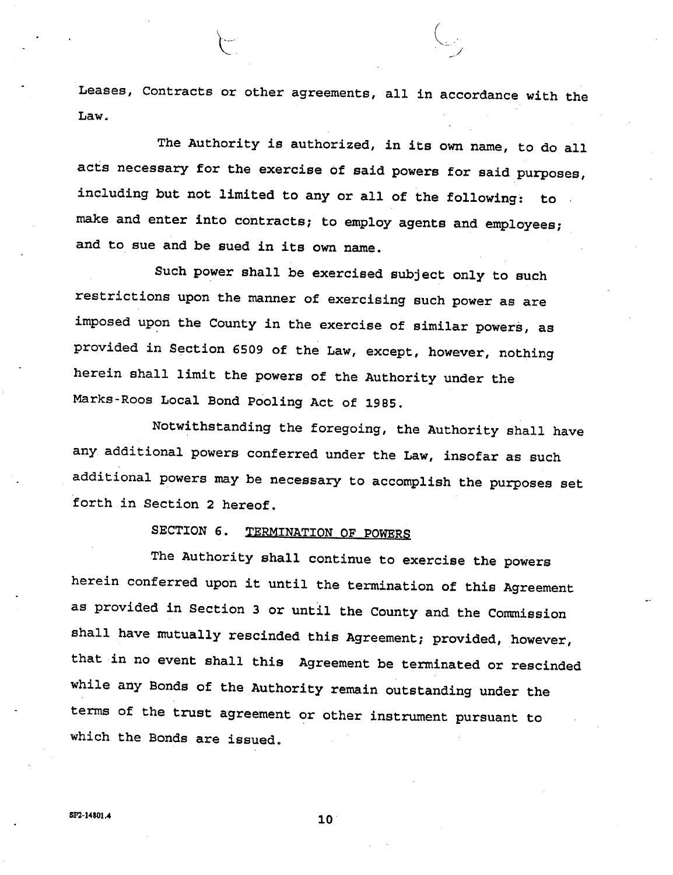**Leases, Contracts or other agreements, all in accordance with the Law.** 

**The Authority is authorized, in its own name, to do all acts necessary for the exercise of said powers for said purposes, including but not limited to any or all of the following: to make and enter into contracts; to employ agents and employees; and to sue and be sued in its own name.** 

**Such power shall be exercised subject only to such restrictions upon the manner of exercising such power as are imposed upon the County in the exercise of similar powers, as provided in Section 6509 of the Law, except, however, nothing herein shall limit the powers of the Authority under the Marks-Roos Local Bond Pooling Act of 1985.** 

**Notwithstanding the foregoing, the Authority shall have any additional powers conferred under the Law, insofar as such additional powers may be necessary to accomplish the purposes set forth in Section 2 hereof.** 

# **SECTION 6. TERMINATION OF POWERS**

**The Authority shall continue to exercise the powers herein conferred upon it until the termination of this Agreement as provided in Section 3 or until the County and the Commission shall have mutually rescinded this Agreement; provided, however, that in no event shall this Agreement be terminated or rescinded while any Bonds of the Authority remain outstanding under the terms of the trust agreement or other instrument pursuant to which the Bonds are issued.**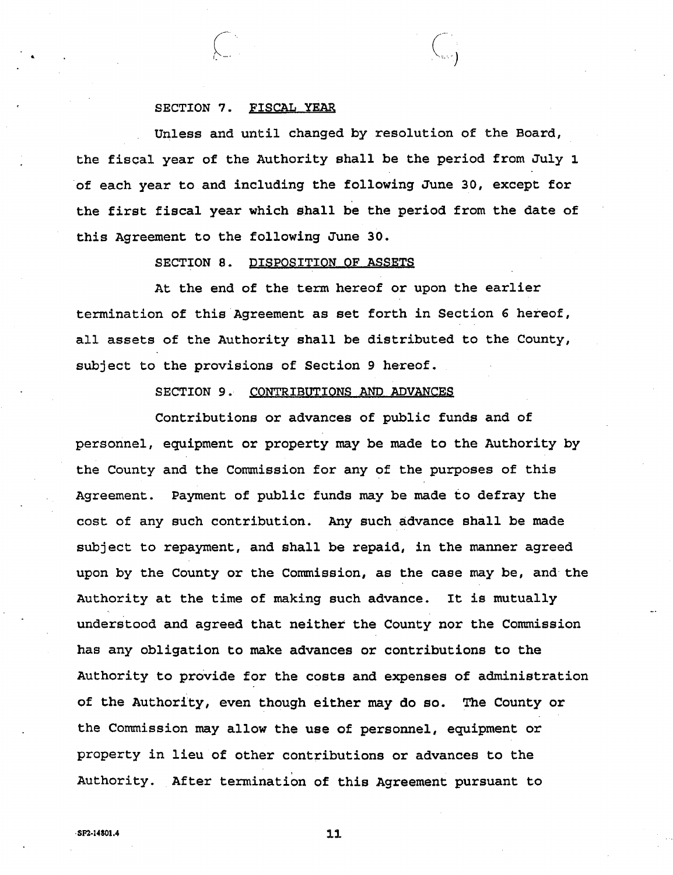#### **SECTION 7. FISCAL YEAR**

**Unless and until changed by resolution of the Board, the fiscal year of the Authority shall be the period from July 1 of each year to and including the following June 30, except for the first fiscal year which shall be the period from the date of this Agreement to the following June 30.** 

#### **SECTION 8. DISPOSITION OF ASSETS**

**At the end of the term hereof or upon the earlier termination of this Agreement as set forth in Section 6 hereof, all assets of the Authority shall be distributed to the County, subject to the provisions of Section 9 hereof.** 

#### **SECTION 9. CONTRIBUTIONS AND ADVANCES**

**Contributions or advances of public funds and of personnel, equipment or property may be made to the Authority by the County and the Commission for any of the purposes of this Payment of public funds may be made to defray the Agreement. cost of any such contribution. Any such advance shall be made subject to repayment, and shall be repaid, in the manner agreed upon by the County or the Commission, as the case may be, and the It is mutually understood and agreed that neither the County nor the Commission Authority at the time of making such advance. has any obligation to make advances or contributions to the Authority to provide for the costs and expenses of administration of the Authority, even though either may do so. The County or the Commission may allow the use of personnel, equipment or property in lieu of other contributions or advances to the Authority. After termination of this Agreement pursuant to**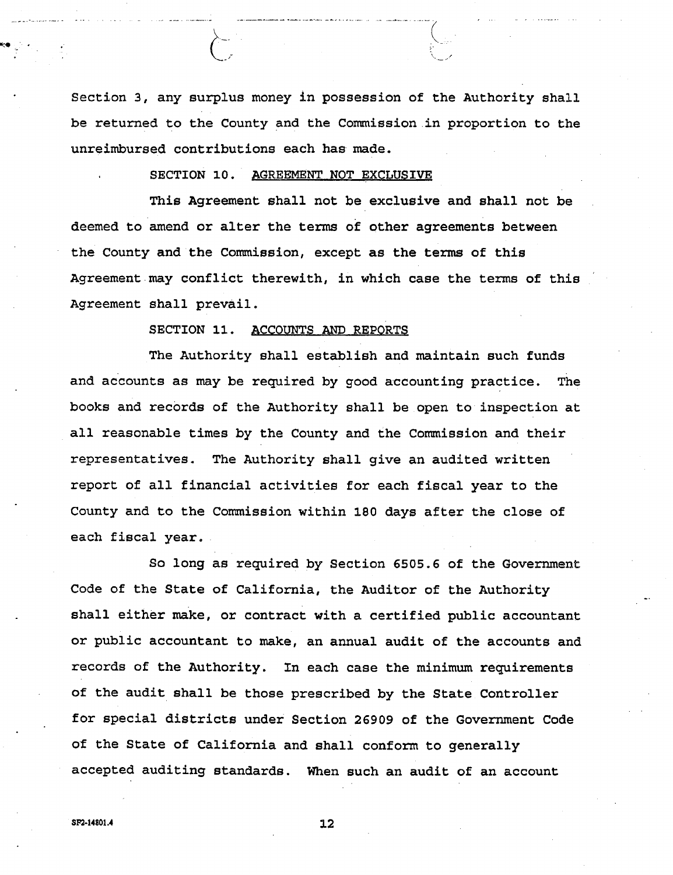**Section 3, any surplus money in possession of the Authority shall be returned to the County and the Commission in proportion to the unreimbursed contributions each has made.** 

#### **. SECTION 10. AGREEMENT NOT EXCLUSIVE**

**This Agreement shall not be exclusive and shall not be deemed to amend or alter the terms of other agreements between the County and the Commission, except as the terms of this Agreement may conflict therewith, in which case the terms of this Agreement shall prevail.** 

#### **SECTION 11. ACCOUNTS AND REPORTS**

**The Authority shall establish and maintain such funds and accounts as may be required by good accounting practice. The books and records of the Authority shall be open to inspection at all reasonable times by the County and the Commission and their representatives. The Authority shall give an audited written report of all financial activities for each fiscal year to the County and to the Commission within 180 days after the close of each fiscal year.** 

**So long as required by Section 6505.6 of the Government Code of the State of California, the Auditor of the Authority shall either make, or contract with a certified public accountant or public accountant to make, an annual audit of the accounts and records of the Authority. In each case the minimum requirements of the audit shall be those prescribed by the State Controller for special districts under Section 26909 of the Government Code of the State of California and shall conform to generally accepted auditing standards. When such an audit of an account**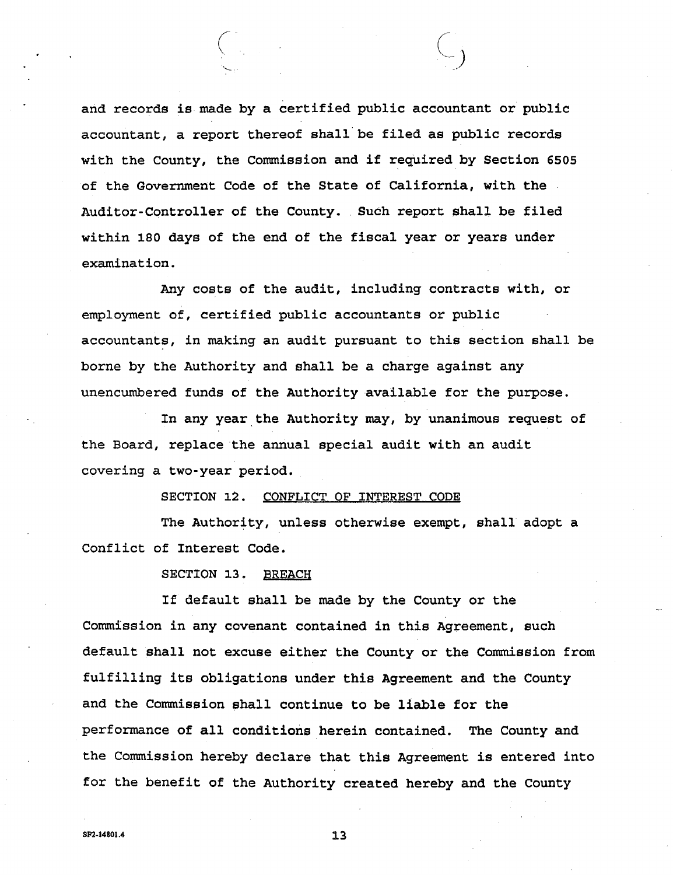**and records is made by a certified public accountant or public accountant, a report thereof shall be filed as public records with the County, the Commission and if required by Section 6505 of the Government Code of the State of California, with the Such report shall be filed Auditor-Controller of the County. within 180 days of the end of the fiscal year or years under examination.** 

**Any costs of the audit, including contracts with, or employment of, certified public accountants or public accountants, in making an audit pursuant to this section shall be borne by the Authority and shall be a charge against any unencumbered funds of the Authority available for the purpose.** 

**In any year the Authority may, by unanimous request of the Board, replace the annual special audit with an audit covering a two-year period.** 

**SECTION 12. CONFLICT OF INTEREST CODE** 

**The Authority, unless otherwise exempt, shall adopt a Conflict of Interest Code.** 

**SECTION 13. BREACH** 

**If default shall be made by the County or the Commission in any covenant contained in this Agreement, such default shall not excuse either the County or the Commission from fulfilling its obligations under this Agreement and the County and the Commission shall continue to be liable for the performance of all conditions herein contained. The County and the Commission hereby declare that this Agreement is entered into for the benefit of the Authority created hereby and the County**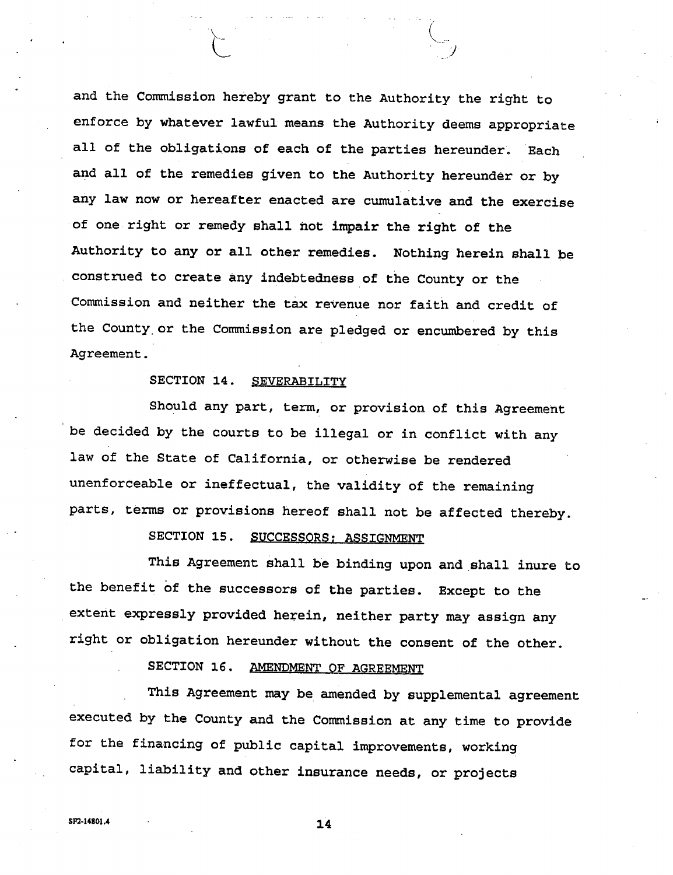**and the Commission hereby grant to the Authority the right to enforce by whatever lawful means the Authority deems appropriate all of the obligations of each of the parties hereunder. Each and all of the remedies given to the Authority hereunder or by any law now or hereafter enacted are cumulative and the exercise of one right or remedy shall hot impair the right of the Authority to any or all other remedies, Nothing herein shall be construed to create any indebtedness of the County or the Commission and neither the tax revenue nor faith and credit of the County.or the Commission are pledged or encumbered by this Agreement.** 

#### **SECTION 14. SEVERABILITY**

**Should any part, term, or provision of this Agreement be decided by the courts to be illegal or in conflict with any law of the State of California, or otherwise be rendered unenforceable or ineffectual, the validity of the remaining parts, terms or provisions hereof shall not be affected thereby.** 

# **SECTION 15. SUCCESSORS; ASSIGNMENT**

**This Agreement shall be binding upon and shall inure to the benefit of the successors of the parties. Except to the extent expressly provided herein, neither party may assign any right or obligation hereunder without the consent of the other.** 

# **SECTION 16. AMENDMENT OF AGREEMENT**

**This Agreement may be amended by supplemental agreement executed by the County and the Commission at any time to provide for the financing of public capital improvements, working capital, liability and other insurance needs, or projects**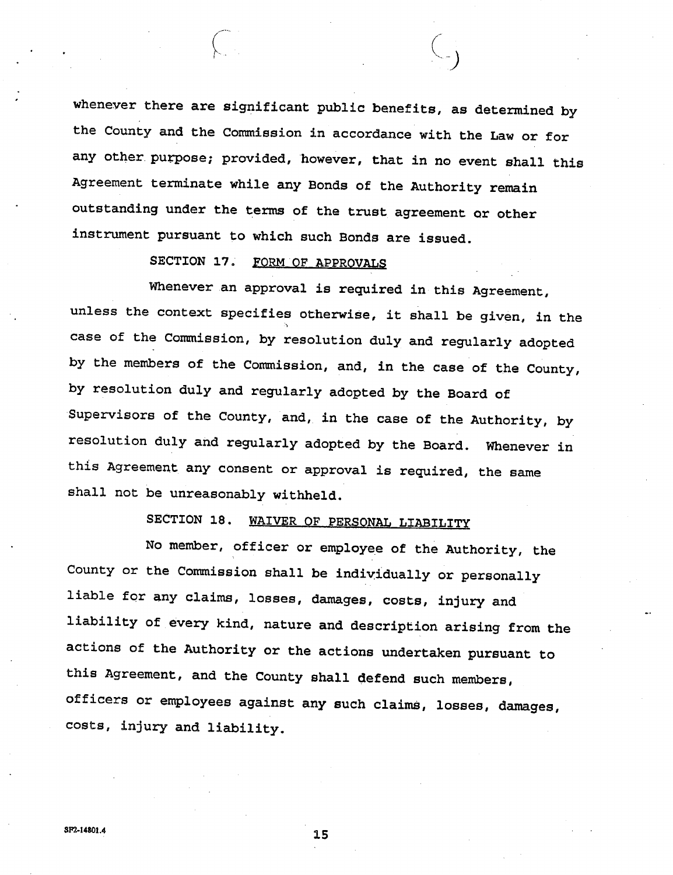**whenever there are significant public benefits, as determined by the County and the Commission in accordance with the Law or for any other, purpose; provided, however, that in no event shall this Agreement terminate while any Bonds of the Authority remain outstanding under the terms of the trust agreement or other instrument pursuant to which such Bonds are issued.** 

*)* 

# **SECTION 17. FORM OF APPROVALS**

**Whenever an approval is required in this Agreement, unless the context specifies otherwise, it shall be given, in the**  .'i **case of the Commission, by resolution duly and regularly adopted by the members of the Commission, and, in the case of the County, by resolution duly and regularly adopted by the Board of Supervisors of the County, and, in the case of the Authority, by resolution duly and regularly adopted by the Board. Whenever in this Agreement any consent or approval is required, the same shall not be unreasonably withheld.** 

# **SECTION 18. WAIVER OF PERSONAL LIABILITY**

**No member, officer or employee of the Authority, the County or the Commission shall be individually or personally liable for any claims, losses, damages, costs, injury and liability of every kind, nature and description arising from the actions of the Authority or the actions undertaken pursuant to this Agreement, and the County shall defend such members, officers or employees against any such claims, losses, damages, costs, injury and liability.**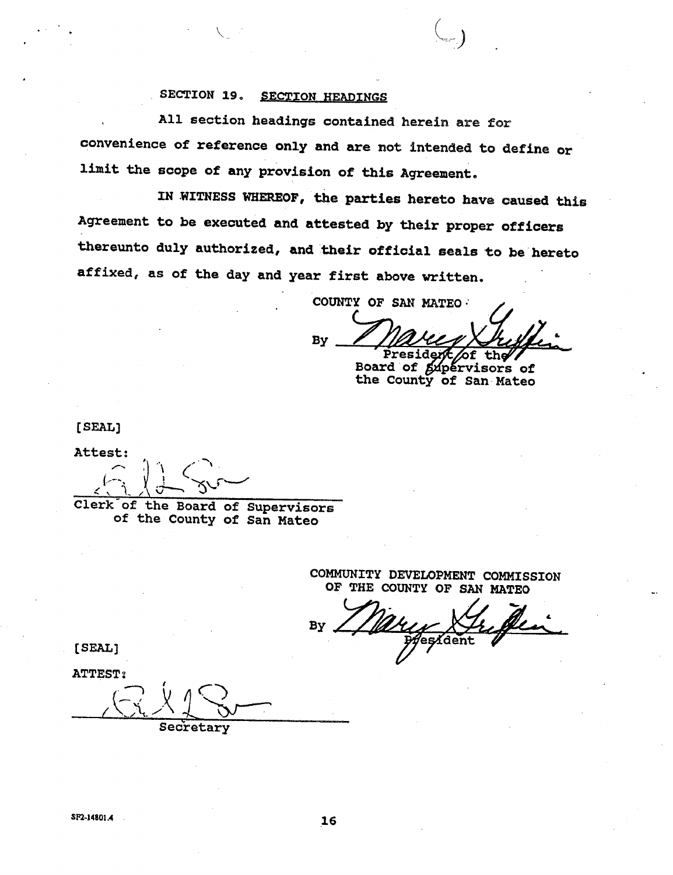## **SECTION 19. SECTION HEADINGS**

**, All section headings contained herein** are for **convenience of reference only and are not intended to define or limit the scope of any provision of this Agreement.** 

**IN WITNESS WHEREOF, the parties hereto have caused this Agreement to he executed and attested by their proper officers thereunto duly authorized, and their official seals to be hereto affixed, as of the day and year first above written.** 

**COUNTY OF SAN MATEO • > .** 

**By President f th** 

**Boaxd of the County of San Mateo pervisors of** 

**[SEAL]** 

**Attest;** 

 $j$   $\in$   $\in$   $\in$ *<<sup>x</sup> .\ A <sup>v</sup>*

**Clerk"of the Board of Supervisors of the County of San Mateo** 

> **COMMUNITY DEVELOPMENT COMMISSION OF THE COUNTY OF SAN MATEO**

**By**  esident

**[SEAL]** 

**ATTEST 2** 

**A'**A. A **<sup>1</sup> Secretary**